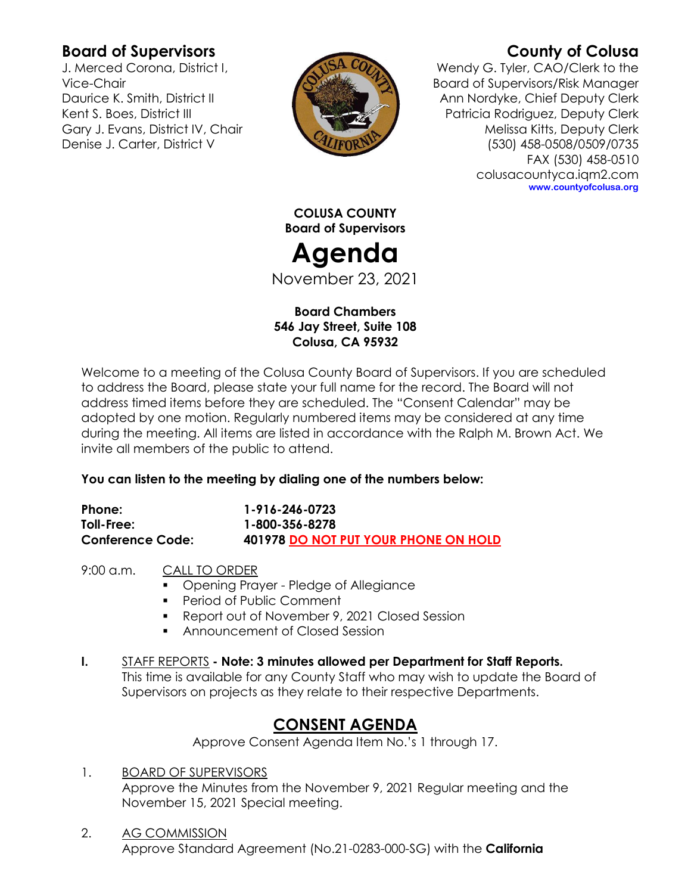# **Board of Supervisors**

J. Merced Corona, District I, Vice-Chair Daurice K. Smith, District II Kent S. Boes, District III Gary J. Evans, District IV, Chair Denise J. Carter, District V



# **County of Colusa**

Wendy G. Tyler, CAO/Clerk to the Board of Supervisors/Risk Manager Ann Nordyke, Chief Deputy Clerk Patricia Rodriguez, Deputy Clerk Melissa Kitts, Deputy Clerk (530) 458-0508/0509/0735 FAX (530) 458-0510 colusacountyca.iqm2.com **www.countyofcolusa.org**

**COLUSA COUNTY Board of Supervisors**

# **Agenda**

November 23, 2021

## **Board Chambers 546 Jay Street, Suite 108 Colusa, CA 95932**

Welcome to a meeting of the Colusa County Board of Supervisors. If you are scheduled to address the Board, please state your full name for the record. The Board will not address timed items before they are scheduled. The "Consent Calendar" may be adopted by one motion. Regularly numbered items may be considered at any time during the meeting. All items are listed in accordance with the Ralph M. Brown Act. We invite all members of the public to attend.

## **You can listen to the meeting by dialing one of the numbers below:**

| Phone:                  | 1-916-246-0723                       |
|-------------------------|--------------------------------------|
| Toll-Free:              | 1-800-356-8278                       |
| <b>Conference Code:</b> | 401978 DO NOT PUT YOUR PHONE ON HOLD |

9:00 a.m. CALL TO ORDER

- **Opening Prayer Pledge of Allegiance**
- **Period of Public Comment**
- Report out of November 9, 2021 Closed Session
- **Announcement of Closed Session**
- **I.** STAFF REPORTS **- Note: 3 minutes allowed per Department for Staff Reports.** This time is available for any County Staff who may wish to update the Board of Supervisors on projects as they relate to their respective Departments.

# **CONSENT AGENDA**

Approve Consent Agenda Item No.'s 1 through 17.

- 1. BOARD OF SUPERVISORS Approve the Minutes from the November 9, 2021 Regular meeting and the November 15, 2021 Special meeting.
- 2. AG COMMISSION Approve Standard Agreement (No.21-0283-000-SG) with the **California**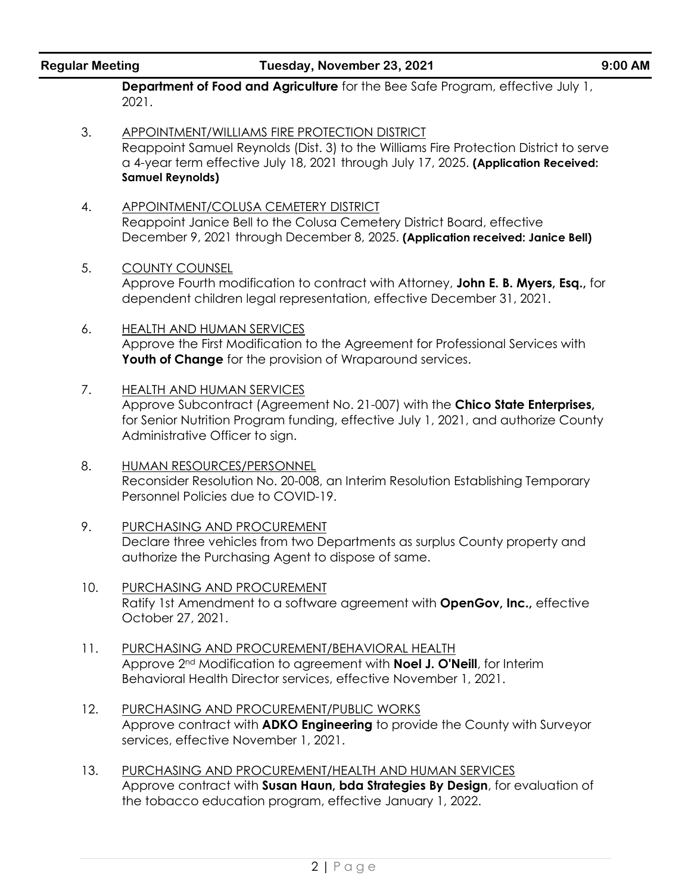| <b>Regular Meeting</b> |  |  |
|------------------------|--|--|

#### **Regular Meeting Tuesday, November 23, 2021 9:00 AM**

**Department of Food and Agriculture** for the Bee Safe Program, effective July 1, 2021.

- 3. APPOINTMENT/WILLIAMS FIRE PROTECTION DISTRICT Reappoint Samuel Reynolds (Dist. 3) to the Williams Fire Protection District to serve a 4-year term effective July 18, 2021 through July 17, 2025. **(Application Received: Samuel Reynolds)**
- 4. APPOINTMENT/COLUSA CEMETERY DISTRICT Reappoint Janice Bell to the Colusa Cemetery District Board, effective December 9, 2021 through December 8, 2025. **(Application received: Janice Bell)**
- 5. COUNTY COUNSEL

Approve Fourth modification to contract with Attorney, **John E. B. Myers, Esq.,** for dependent children legal representation, effective December 31, 2021.

- 6. HEALTH AND HUMAN SERVICES Approve the First Modification to the Agreement for Professional Services with Youth of Change for the provision of Wraparound services.
- 7. HEALTH AND HUMAN SERVICES Approve Subcontract (Agreement No. 21-007) with the **Chico State Enterprises,**  for Senior Nutrition Program funding, effective July 1, 2021, and authorize County Administrative Officer to sign.
- 8. HUMAN RESOURCES/PERSONNEL Reconsider Resolution No. 20-008, an Interim Resolution Establishing Temporary Personnel Policies due to COVID-19.
- 9. PURCHASING AND PROCUREMENT Declare three vehicles from two Departments as surplus County property and authorize the Purchasing Agent to dispose of same.
- 10. PURCHASING AND PROCUREMENT Ratify 1st Amendment to a software agreement with **OpenGov, Inc.,** effective October 27, 2021.
- 11. PURCHASING AND PROCUREMENT/BEHAVIORAL HEALTH Approve 2nd Modification to agreement with **Noel J. O'Neill**, for Interim Behavioral Health Director services, effective November 1, 2021.
- 12. PURCHASING AND PROCUREMENT/PUBLIC WORKS Approve contract with **ADKO Engineering** to provide the County with Surveyor services, effective November 1, 2021.
- 13. PURCHASING AND PROCUREMENT/HEALTH AND HUMAN SERVICES Approve contract with **Susan Haun, bda Strategies By Design**, for evaluation of the tobacco education program, effective January 1, 2022.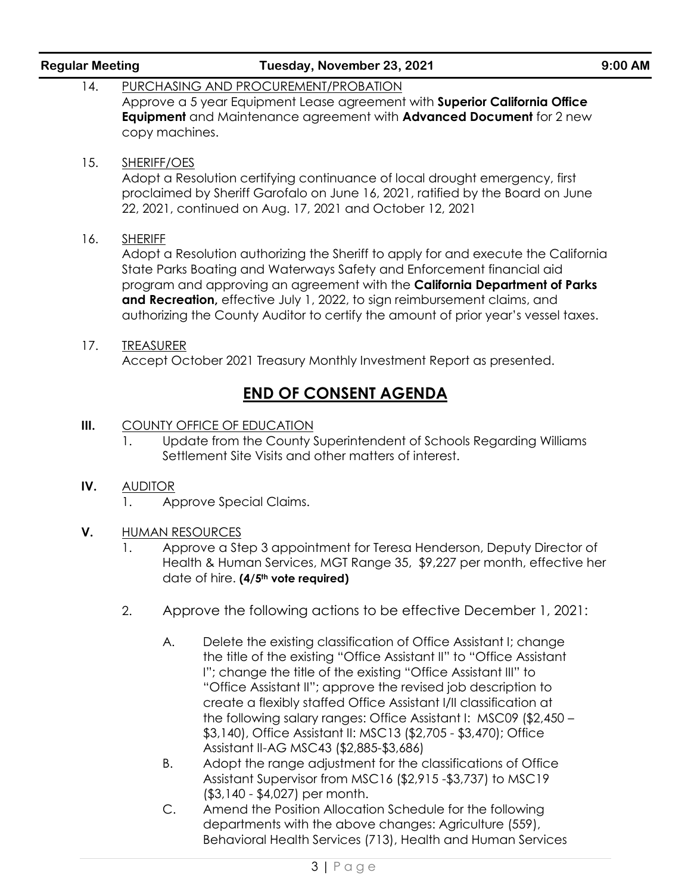|      | Approve a 5 year Equipment Lease agreement with Superior California Office<br><b>Equipment</b> and Maintenance agreement with <b>Advanced Document</b> for 2 new<br>copy machines.                                                                                                                                                                                                                                                                                                                                                                                                                                                                                                                                    |  |  |  |  |  |
|------|-----------------------------------------------------------------------------------------------------------------------------------------------------------------------------------------------------------------------------------------------------------------------------------------------------------------------------------------------------------------------------------------------------------------------------------------------------------------------------------------------------------------------------------------------------------------------------------------------------------------------------------------------------------------------------------------------------------------------|--|--|--|--|--|
| 15.  | <b>SHERIFF/OES</b><br>Adopt a Resolution certifying continuance of local drought emergency, first<br>proclaimed by Sheriff Garofalo on June 16, 2021, ratified by the Board on June<br>22, 2021, continued on Aug. 17, 2021 and October 12, 2021                                                                                                                                                                                                                                                                                                                                                                                                                                                                      |  |  |  |  |  |
| 16.  | <b>SHERIFF</b><br>Adopt a Resolution authorizing the Sheriff to apply for and execute the California<br>State Parks Boating and Waterways Safety and Enforcement financial aid<br>program and approving an agreement with the California Department of Parks<br>and Recreation, effective July 1, 2022, to sign reimbursement claims, and<br>authorizing the County Auditor to certify the amount of prior year's vessel taxes.                                                                                                                                                                                                                                                                                       |  |  |  |  |  |
| 17.  | <b>TREASURER</b><br>Accept October 2021 Treasury Monthly Investment Report as presented.                                                                                                                                                                                                                                                                                                                                                                                                                                                                                                                                                                                                                              |  |  |  |  |  |
|      | <b>END OF CONSENT AGENDA</b>                                                                                                                                                                                                                                                                                                                                                                                                                                                                                                                                                                                                                                                                                          |  |  |  |  |  |
| III. | <b>COUNTY OFFICE OF EDUCATION</b><br>Update from the County Superintendent of Schools Regarding Williams<br>1.<br>Settlement Site Visits and other matters of interest.                                                                                                                                                                                                                                                                                                                                                                                                                                                                                                                                               |  |  |  |  |  |
| IV.  | <b>AUDITOR</b><br>Approve Special Claims.<br>1.                                                                                                                                                                                                                                                                                                                                                                                                                                                                                                                                                                                                                                                                       |  |  |  |  |  |
| V.   | <b>HUMAN RESOURCES</b><br>Approve a Step 3 appointment for Teresa Henderson, Deputy Director of<br>1.<br>Health & Human Services, MGT Range 35, \$9,227 per month, effective her<br>date of hire. (4/5 <sup>th</sup> vote required)                                                                                                                                                                                                                                                                                                                                                                                                                                                                                   |  |  |  |  |  |
|      | 2.<br>Approve the following actions to be effective December 1, 2021:                                                                                                                                                                                                                                                                                                                                                                                                                                                                                                                                                                                                                                                 |  |  |  |  |  |
|      | Delete the existing classification of Office Assistant I; change<br>Α.<br>the title of the existing "Office Assistant II" to "Office Assistant<br>I"; change the title of the existing "Office Assistant III" to<br>"Office Assistant II"; approve the revised job description to<br>create a flexibly staffed Office Assistant I/II classification at<br>the following salary ranges: Office Assistant I: MSC09 (\$2,450 -<br>\$3,140), Office Assistant II: MSC13 (\$2,705 - \$3,470); Office<br>Assistant II-AG MSC43 (\$2,885-\$3,686)<br>Adopt the range adjustment for the classifications of Office<br>В.<br>Assistant Supervisor from MSC16 (\$2,915 - \$3,737) to MSC19<br>$( $3, 140 - $4, 027)$ per month. |  |  |  |  |  |
|      |                                                                                                                                                                                                                                                                                                                                                                                                                                                                                                                                                                                                                                                                                                                       |  |  |  |  |  |

**Regular Meeting Tuesday, November 23, 2021 9:00 AM**

14. PURCHASING AND PROCUREMENT/PROBATION

C. Amend the Position Allocation Schedule for the following departments with the above changes: Agriculture (559), Behavioral Health Services (713), Health and Human Services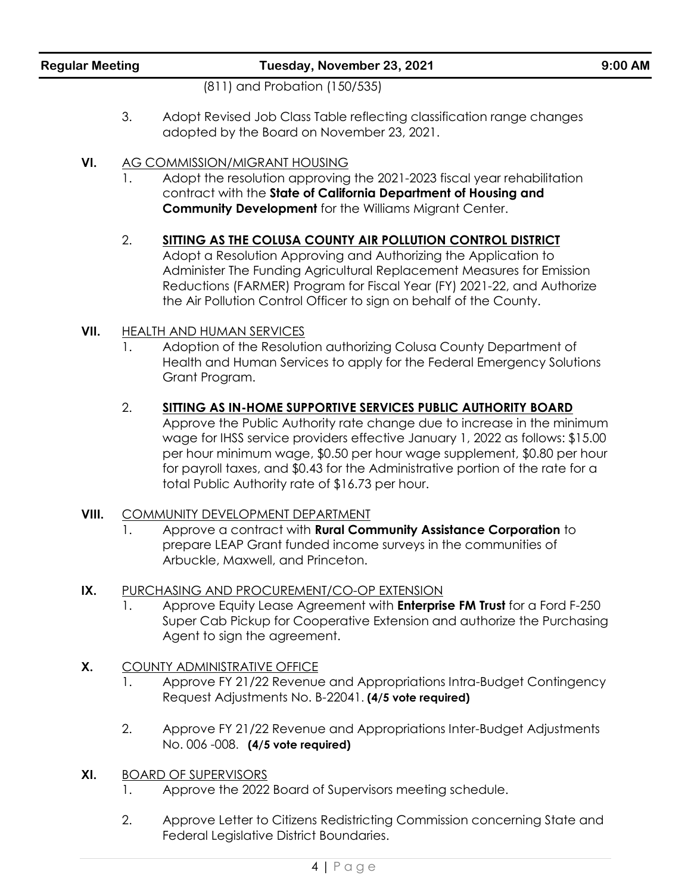(811) and Probation (150/535)

- 3. Adopt Revised Job Class Table reflecting classification range changes adopted by the Board on November 23, 2021.
- **VI.** AG COMMISSION/MIGRANT HOUSING
	- 1. Adopt the resolution approving the 2021-2023 fiscal year rehabilitation contract with the **State of California Department of Housing and Community Development** for the Williams Migrant Center.

### 2. **SITTING AS THE COLUSA COUNTY AIR POLLUTION CONTROL DISTRICT**

Adopt a Resolution Approving and Authorizing the Application to Administer The Funding Agricultural Replacement Measures for Emission Reductions (FARMER) Program for Fiscal Year (FY) 2021-22, and Authorize the Air Pollution Control Officer to sign on behalf of the County.

#### **VII.** HEALTH AND HUMAN SERVICES

1. Adoption of the Resolution authorizing Colusa County Department of Health and Human Services to apply for the Federal Emergency Solutions Grant Program.

#### 2. **SITTING AS IN-HOME SUPPORTIVE SERVICES PUBLIC AUTHORITY BOARD**

Approve the Public Authority rate change due to increase in the minimum wage for IHSS service providers effective January 1, 2022 as follows: \$15.00 per hour minimum wage, \$0.50 per hour wage supplement, \$0.80 per hour for payroll taxes, and \$0.43 for the Administrative portion of the rate for a total Public Authority rate of \$16.73 per hour.

#### **VIII.** COMMUNITY DEVELOPMENT DEPARTMENT

1. Approve a contract with **Rural Community Assistance Corporation** to prepare LEAP Grant funded income surveys in the communities of Arbuckle, Maxwell, and Princeton.

#### **IX.** PURCHASING AND PROCUREMENT/CO-OP EXTENSION

- 1. Approve Equity Lease Agreement with **Enterprise FM Trust** for a Ford F-250 Super Cab Pickup for Cooperative Extension and authorize the Purchasing Agent to sign the agreement.
- **X.** COUNTY ADMINISTRATIVE OFFICE
	- 1. Approve FY 21/22 Revenue and Appropriations Intra-Budget Contingency Request Adjustments No. B-22041. **(4/5 vote required)**
	- 2. Approve FY 21/22 Revenue and Appropriations Inter-Budget Adjustments No. 006 -008. **(4/5 vote required)**
- **XI.** BOARD OF SUPERVISORS
	- 1. Approve the 2022 Board of Supervisors meeting schedule.
	- 2. Approve Letter to Citizens Redistricting Commission concerning State and Federal Legislative District Boundaries.